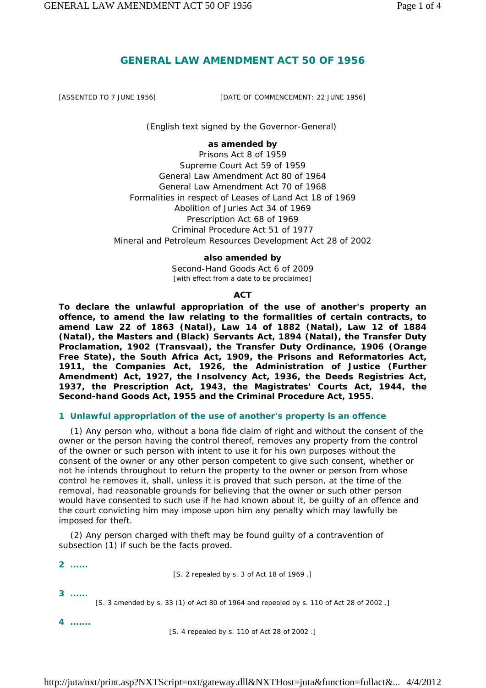# **GENERAL LAW AMENDMENT ACT 50 OF 1956**

[ASSENTED TO 7 JUNE 1956] [DATE OF COMMENCEMENT: 22 JUNE 1956]

*(English text signed by the Governor-General)* 

#### **as amended by**

Prisons Act 8 of 1959 Supreme Court Act 59 of 1959 General Law Amendment Act 80 of 1964 General Law Amendment Act 70 of 1968 Formalities in respect of Leases of Land Act 18 of 1969 Abolition of Juries Act 34 of 1969 Prescription Act 68 of 1969 Criminal Procedure Act 51 of 1977 Mineral and Petroleum Resources Development Act 28 of 2002

#### **also amended by**

Second-Hand Goods Act 6 of 2009 [with effect from a date to be proclaimed]

#### **ACT**

**To declare the unlawful appropriation of the use of another's property an offence, to amend the law relating to the formalities of certain contracts, to amend Law 22 of 1863 (Natal), Law 14 of 1882 (Natal), Law 12 of 1884 (Natal), the Masters and (Black) Servants Act, 1894 (Natal), the Transfer Duty Proclamation, 1902 (Transvaal), the Transfer Duty Ordinance, 1906 (Orange Free State), the South Africa Act, 1909, the Prisons and Reformatories Act, 1911, the Companies Act, 1926, the Administration of Justice (Further Amendment) Act, 1927, the Insolvency Act, 1936, the Deeds Registries Act, 1937, the Prescription Act, 1943, the Magistrates' Courts Act, 1944, the Second-hand Goods Act, 1955 and the Criminal Procedure Act, 1955.** 

### **1 Unlawful appropriation of the use of another's property is an offence**

(1) Any person who, without a *bona fide* claim of right and without the consent of the owner or the person having the control thereof, removes any property from the control of the owner or such person with intent to use it for his own purposes without the consent of the owner or any other person competent to give such consent, whether or not he intends throughout to return the property to the owner or person from whose control he removes it, shall, unless it is proved that such person, at the time of the removal, had reasonable grounds for believing that the owner or such other person would have consented to such use if he had known about it, be guilty of an offence and the court convicting him may impose upon him any penalty which may lawfully be imposed for theft.

(2) Any person charged with theft may be found guilty of a contravention of subsection (1) if such be the facts proved.

**2 ......** 

[S. 2 repealed by s. 3 of Act 18 of 1969 .]

**3 ......** 

[S. 3 amended by s. 33 (1) of Act 80 of 1964 and repealed by s. 110 of Act 28 of 2002 .]

**4 .......** 

[S. 4 repealed by s. 110 of Act 28 of 2002 .]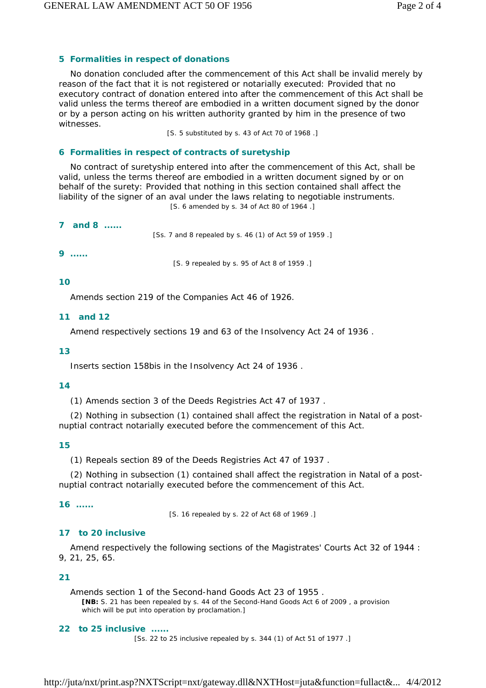# **5 Formalities in respect of donations**

No donation concluded after the commencement of this Act shall be invalid merely by reason of the fact that it is not registered or notarially executed: Provided that no executory contract of donation entered into after the commencement of this Act shall be valid unless the terms thereof are embodied in a written document signed by the donor or by a person acting on his written authority granted by him in the presence of two witnesses.

[S. 5 substituted by s. 43 of Act 70 of 1968 .]

## **6 Formalities in respect of contracts of suretyship**

No contract of suretyship entered into after the commencement of this Act, shall be valid, unless the terms thereof are embodied in a written document signed by or on behalf of the surety: Provided that nothing in this section contained shall affect the liability of the signer of an aval under the laws relating to negotiable instruments. [S. 6 amended by s. 34 of Act 80 of 1964 .]

|   | <b>7</b> and 8 | [Ss. 7 and 8 repealed by s. 46 (1) of Act 59 of 1959.] |
|---|----------------|--------------------------------------------------------|
| 9 |                | [S. 9 repealed by s. 95 of Act 8 of 1959.]             |

### **10**

Amends section 219 of the Companies Act 46 of 1926.

## **11 and 12**

Amend respectively sections 19 and 63 of the Insolvency Act 24 of 1936 .

### **13**

Inserts section 158*bis* in the Insolvency Act 24 of 1936 .

### **14**

(1) Amends section 3 of the Deeds Registries Act 47 of 1937 .

(2) Nothing in subsection (1) contained shall affect the registration in Natal of a postnuptial contract notarially executed before the commencement of this Act.

## **15**

(1) Repeals section 89 of the Deeds Registries Act 47 of 1937 .

(2) Nothing in subsection (1) contained shall affect the registration in Natal of a postnuptial contract notarially executed before the commencement of this Act.

## **16 ......**

[S. 16 repealed by s. 22 of Act 68 of 1969 .]

## **17 to 20 inclusive**

Amend respectively the following sections of the Magistrates' Courts Act 32 of 1944 : 9, 21, 25, 65.

## **21**

Amends section 1 of the Second-hand Goods Act 23 of 1955 .

**[NB:** S. 21 has been repealed by s. 44 of the Second-Hand Goods Act 6 of 2009 , a provision which will be put into operation by proclamation.]

### **22 to 25 inclusive ......**

[Ss. 22 to 25 inclusive repealed by s. 344 (1) of Act 51 of 1977 .]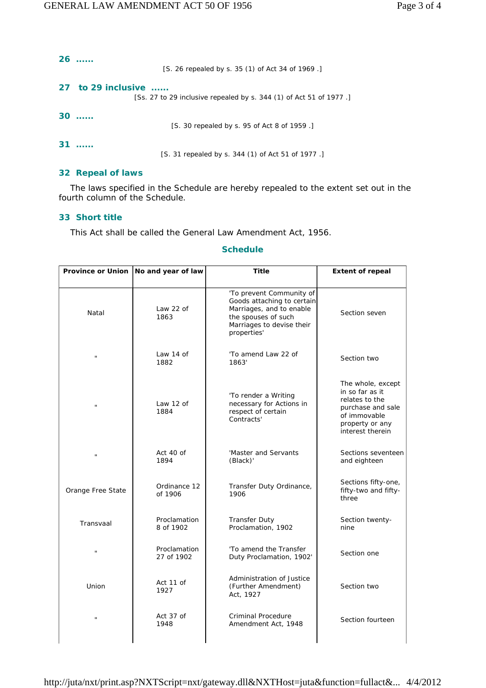| 26<br>[S. 26 repealed by s. 35 (1) of Act 34 of 1969.                                    |
|------------------------------------------------------------------------------------------|
| 27 to 29 inclusive<br>[Ss. 27 to 29 inclusive repealed by s. 344 (1) of Act 51 of 1977.] |
| $30$<br>[S. 30 repealed by s. 95 of Act 8 of 1959.]                                      |
| 31<br>[S. 31 repealed by s. 344 (1) of Act 51 of 1977.                                   |

#### **32 Repeal of laws**

The laws specified in the Schedule are hereby repealed to the extent set out in the fourth column of the Schedule.

## **33 Short title**

This Act shall be called the General Law Amendment Act, 1956.

| <b>Province or Union</b> | No and year of law         | <b>Title</b>                                                                                                                                          | <b>Extent of repeal</b>                                                                                                            |
|--------------------------|----------------------------|-------------------------------------------------------------------------------------------------------------------------------------------------------|------------------------------------------------------------------------------------------------------------------------------------|
| Natal                    | Law 22 of<br>1863          | 'To prevent Community of<br>Goods attaching to certain<br>Marriages, and to enable<br>the spouses of such<br>Marriages to devise their<br>properties' | Section seven                                                                                                                      |
| Ĥ,                       | Law 14 of<br>1882          | 'To amend Law 22 of<br>1863'                                                                                                                          | Section two                                                                                                                        |
| $\mathbf{u}$             | Law 12 of<br>1884          | 'To render a Writing<br>necessary for Actions in<br>respect of certain<br>Contracts'                                                                  | The whole, except<br>in so far as it<br>relates to the<br>purchase and sale<br>of immovable<br>property or any<br>interest therein |
| $\mathbf{u}$             | Act 40 of<br>1894          | 'Master and Servants<br>(Black)'                                                                                                                      | Sections seventeen<br>and eighteen                                                                                                 |
| Orange Free State        | Ordinance 12<br>of 1906    | Transfer Duty Ordinance,<br>1906                                                                                                                      | Sections fifty-one,<br>fifty-two and fifty-<br>three                                                                               |
| Transvaal                | Proclamation<br>8 of 1902  | <b>Transfer Duty</b><br>Proclamation, 1902                                                                                                            | Section twenty-<br>nine                                                                                                            |
| $\mathbf{u}$             | Proclamation<br>27 of 1902 | 'To amend the Transfer<br>Duty Proclamation, 1902'                                                                                                    | Section one                                                                                                                        |
| Union                    | Act 11 of<br>1927          | Administration of Justice<br>(Further Amendment)<br>Act, 1927                                                                                         | Section two                                                                                                                        |
| Ĥ,                       | Act 37 of<br>1948          | Criminal Procedure<br>Amendment Act, 1948                                                                                                             | Section fourteen                                                                                                                   |
|                          |                            |                                                                                                                                                       |                                                                                                                                    |

## **Schedule**